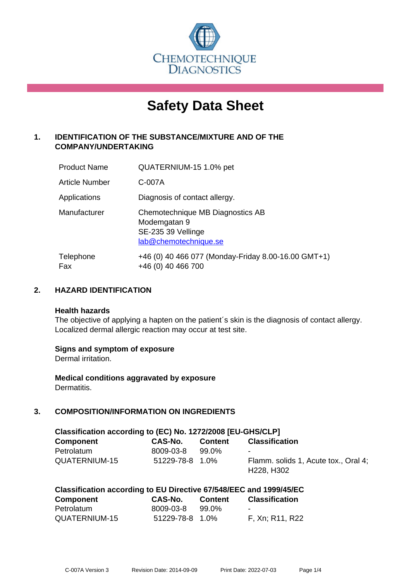

# **Safety Data Sheet**

# **1. IDENTIFICATION OF THE SUBSTANCE/MIXTURE AND OF THE COMPANY/UNDERTAKING**

| <b>Product Name</b> | QUATERNIUM-15 1.0% pet                                                                          |
|---------------------|-------------------------------------------------------------------------------------------------|
| Article Number      | C-007A                                                                                          |
| Applications        | Diagnosis of contact allergy.                                                                   |
| Manufacturer        | Chemotechnique MB Diagnostics AB<br>Modemgatan 9<br>SE-235 39 Vellinge<br>lab@chemotechnique.se |
| Telephone<br>Fax    | +46 (0) 40 466 077 (Monday-Friday 8.00-16.00 GMT+1)<br>+46 (0) 40 466 700                       |

## **2. HAZARD IDENTIFICATION**

#### **Health hazards**

The objective of applying a hapten on the patient's skin is the diagnosis of contact allergy. Localized dermal allergic reaction may occur at test site.

## **Signs and symptom of exposure**

Dermal irritation.

**Medical conditions aggravated by exposure** Dermatitis.

# **3. COMPOSITION/INFORMATION ON INGREDIENTS**

| Classification according to (EC) No. 1272/2008 [EU-GHS/CLP] |                 |         |                                                                             |
|-------------------------------------------------------------|-----------------|---------|-----------------------------------------------------------------------------|
| Component                                                   | CAS-No.         | Content | <b>Classification</b>                                                       |
| Petrolatum                                                  | 8009-03-8       | 99.0%   | $\sim$                                                                      |
| QUATERNIUM-15                                               | 51229-78-8 1.0% |         | Flamm. solids 1, Acute tox., Oral 4;<br>H <sub>228</sub> , H <sub>302</sub> |

| Classification according to EU Directive 67/548/EEC and 1999/45/EC |           |         |                       |
|--------------------------------------------------------------------|-----------|---------|-----------------------|
| <b>Component</b>                                                   | CAS-No.   | Content | <b>Classification</b> |
| Detroleture                                                        | nono on o | nn nez  |                       |

| Petrolatum    | 8009-03-8       | 99.0% |                 |
|---------------|-----------------|-------|-----------------|
| QUATERNIUM-15 | 51229-78-8 1.0% |       | F, Xn; R11, R22 |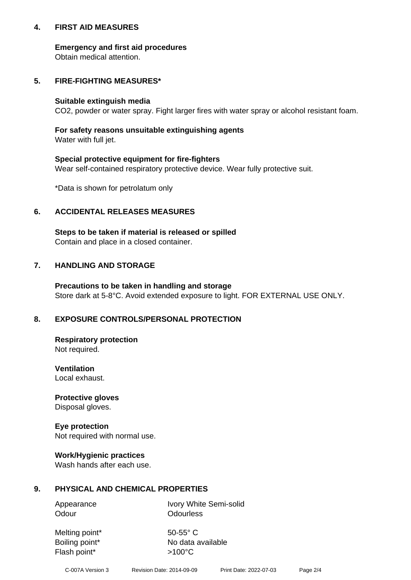## **4. FIRST AID MEASURES**

## **Emergency and first aid procedures**

Obtain medical attention.

# **5. FIRE-FIGHTING MEASURES\***

#### **Suitable extinguish media**

CO2, powder or water spray. Fight larger fires with water spray or alcohol resistant foam.

# **For safety reasons unsuitable extinguishing agents**

Water with full jet.

## **Special protective equipment for fire-fighters**

Wear self-contained respiratory protective device. Wear fully protective suit.

\*Data is shown for petrolatum only

## **6. ACCIDENTAL RELEASES MEASURES**

**Steps to be taken if material is released or spilled** Contain and place in a closed container.

# **7. HANDLING AND STORAGE**

**Precautions to be taken in handling and storage** Store dark at 5-8°C. Avoid extended exposure to light. FOR EXTERNAL USE ONLY.

# **8. EXPOSURE CONTROLS/PERSONAL PROTECTION**

**Respiratory protection** Not required.

**Ventilation** Local exhaust.

**Protective gloves** Disposal gloves.

#### **Eye protection** Not required with normal use.

## **Work/Hygienic practices**

Wash hands after each use.

## **9. PHYSICAL AND CHEMICAL PROPERTIES**

Odour **Odourless** 

Appearance Ivory White Semi-solid

Melting point\* 50-55° C Flash point\*  $>100^{\circ}$ C

Boiling point\* No data available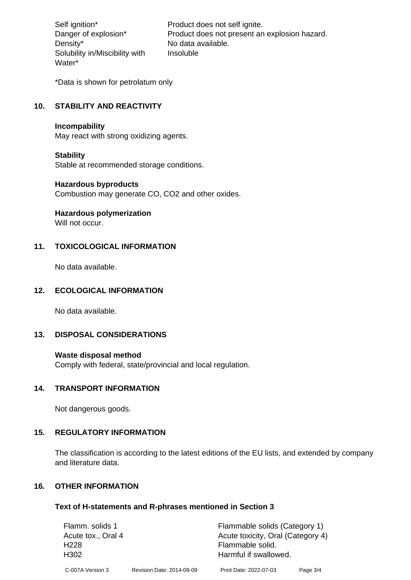Density\* No data available. Solubility in/Miscibility with Water\*

Self ignition\* Product does not self ignite. Danger of explosion\* Product does not present an explosion hazard. Insoluble

\*Data is shown for petrolatum only

# **10. STABILITY AND REACTIVITY**

#### **Incompability**

May react with strong oxidizing agents.

#### **Stability**

Stable at recommended storage conditions.

#### **Hazardous byproducts**

Combustion may generate CO, CO2 and other oxides.

**Hazardous polymerization**

Will not occur.

## **11. TOXICOLOGICAL INFORMATION**

No data available.

## **12. ECOLOGICAL INFORMATION**

No data available.

## **13. DISPOSAL CONSIDERATIONS**

#### **Waste disposal method**

Comply with federal, state/provincial and local regulation.

#### **14. TRANSPORT INFORMATION**

Not dangerous goods.

## **15. REGULATORY INFORMATION**

The classification is according to the latest editions of the EU lists, and extended by company and literature data.

#### **16. OTHER INFORMATION**

#### **Text of H-statements and R-phrases mentioned in Section 3**

| Flamm. solids 1    |                           | Flammable solids (Category 1)     |          |
|--------------------|---------------------------|-----------------------------------|----------|
| Acute tox., Oral 4 |                           | Acute toxicity, Oral (Category 4) |          |
| H <sub>228</sub>   |                           | Flammable solid.                  |          |
| H <sub>302</sub>   |                           | Harmful if swallowed.             |          |
| C-007A Version 3   | Revision Date: 2014-09-09 | Print Date: 2022-07-03            | Page 3/4 |